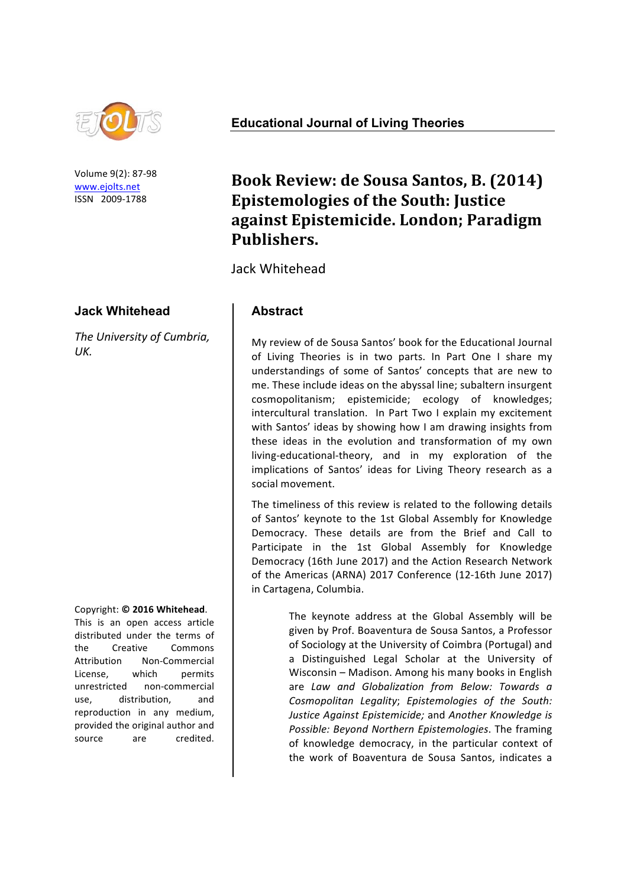

Volume 9(2): 87-98 www.ejolts.net ISSN 2009-1788

### **Jack Whitehead**

**The University of Cumbria,** *UK.*

#### Copyright: **© 2016 Whitehead**.

This is an open access article distributed under the terms of the Creative Commons Attribution Non-Commercial License, which permits unrestricted non-commercial use, distribution, and reproduction in any medium, provided the original author and source are credited.

**Educational Journal of Living Theories**

# **Book Review: de Sousa Santos, B. (2014) Epistemologies of the South: Justice against Epistemicide. London; Paradigm Publishers.**

Jack Whitehead

# **Abstract**

My review of de Sousa Santos' book for the Educational Journal of Living Theories is in two parts. In Part One I share my understandings of some of Santos' concepts that are new to me. These include ideas on the abyssal line; subaltern insurgent cosmopolitanism; epistemicide; ecology of knowledges; intercultural translation. In Part Two I explain my excitement with Santos' ideas by showing how I am drawing insights from these ideas in the evolution and transformation of my own living-educational-theory, and in my exploration of the implications of Santos' ideas for Living Theory research as a social movement.

The timeliness of this review is related to the following details of Santos' keynote to the 1st Global Assembly for Knowledge Democracy. These details are from the Brief and Call to Participate in the 1st Global Assembly for Knowledge Democracy (16th June 2017) and the Action Research Network of the Americas (ARNA) 2017 Conference (12-16th June 2017) in Cartagena, Columbia.

> The keynote address at the Global Assembly will be given by Prof. Boaventura de Sousa Santos, a Professor of Sociology at the University of Coimbra (Portugal) and a Distinguished Legal Scholar at the University of Wisconsin – Madison. Among his many books in English are *Law and Globalization from Below: Towards a Cosmopolitan Legality*; *Epistemologies of the South: Justice Against Epistemicide; and Another Knowledge is* Possible: Beyond Northern Epistemologies. The framing of knowledge democracy, in the particular context of the work of Boaventura de Sousa Santos, indicates a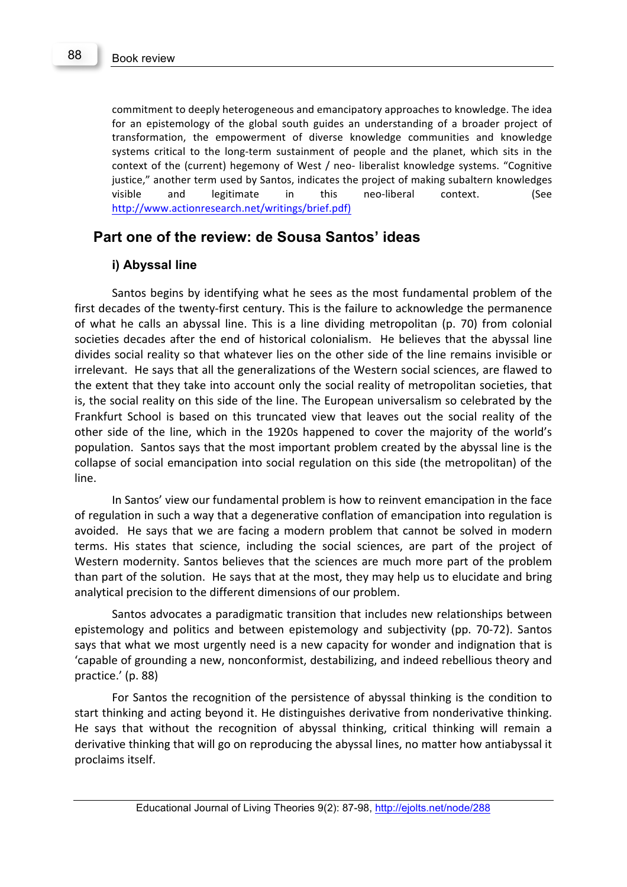commitment to deeply heterogeneous and emancipatory approaches to knowledge. The idea for an epistemology of the global south guides an understanding of a broader project of transformation, the empowerment of diverse knowledge communities and knowledge systems critical to the long-term sustainment of people and the planet, which sits in the context of the (current) hegemony of West / neo- liberalist knowledge systems. "Cognitive justice," another term used by Santos, indicates the project of making subaltern knowledges visible and legitimate in this neo-liberal context. (See http://www.actionresearch.net/writings/brief.pdf)

# **Part one of the review: de Sousa Santos' ideas**

### **i) Abyssal line**

Santos begins by identifying what he sees as the most fundamental problem of the first decades of the twenty-first century. This is the failure to acknowledge the permanence of what he calls an abyssal line. This is a line dividing metropolitan (p. 70) from colonial societies decades after the end of historical colonialism. He believes that the abyssal line divides social reality so that whatever lies on the other side of the line remains invisible or irrelevant. He says that all the generalizations of the Western social sciences, are flawed to the extent that they take into account only the social reality of metropolitan societies, that is, the social reality on this side of the line. The European universalism so celebrated by the Frankfurt School is based on this truncated view that leaves out the social reality of the other side of the line, which in the 1920s happened to cover the majority of the world's population. Santos says that the most important problem created by the abyssal line is the collapse of social emancipation into social regulation on this side (the metropolitan) of the line.

In Santos' view our fundamental problem is how to reinvent emancipation in the face of regulation in such a way that a degenerative conflation of emancipation into regulation is avoided. He says that we are facing a modern problem that cannot be solved in modern terms. His states that science, including the social sciences, are part of the project of Western modernity. Santos believes that the sciences are much more part of the problem than part of the solution. He says that at the most, they may help us to elucidate and bring analytical precision to the different dimensions of our problem.

Santos advocates a paradigmatic transition that includes new relationships between epistemology and politics and between epistemology and subjectivity (pp. 70-72). Santos says that what we most urgently need is a new capacity for wonder and indignation that is 'capable of grounding a new, nonconformist, destabilizing, and indeed rebellious theory and practice.' (p. 88)

For Santos the recognition of the persistence of abyssal thinking is the condition to start thinking and acting beyond it. He distinguishes derivative from nonderivative thinking. He says that without the recognition of abyssal thinking, critical thinking will remain a derivative thinking that will go on reproducing the abyssal lines, no matter how antiabyssal it proclaims itself.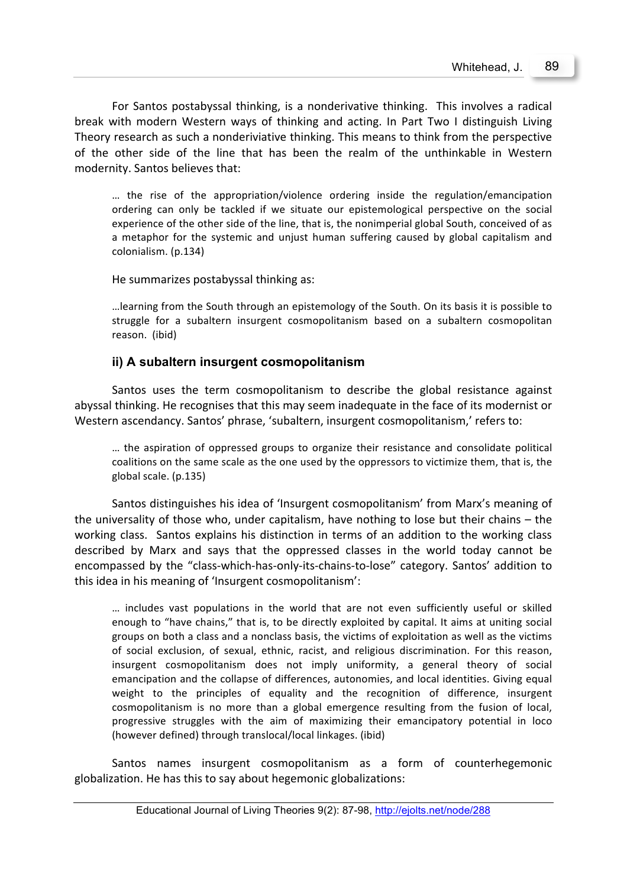For Santos postabyssal thinking, is a nonderivative thinking. This involves a radical break with modern Western ways of thinking and acting. In Part Two I distinguish Living Theory research as such a nonderiviative thinking. This means to think from the perspective of the other side of the line that has been the realm of the unthinkable in Western modernity. Santos believes that:

... the rise of the appropriation/violence ordering inside the regulation/emancipation ordering can only be tackled if we situate our epistemological perspective on the social experience of the other side of the line, that is, the nonimperial global South, conceived of as a metaphor for the systemic and unjust human suffering caused by global capitalism and colonialism. (p.134)

He summarizes postabyssal thinking as:

...learning from the South through an epistemology of the South. On its basis it is possible to struggle for a subaltern insurgent cosmopolitanism based on a subaltern cosmopolitan reason. (ibid)

### **ii) A subaltern insurgent cosmopolitanism**

Santos uses the term cosmopolitanism to describe the global resistance against abyssal thinking. He recognises that this may seem inadequate in the face of its modernist or Western ascendancy. Santos' phrase, 'subaltern, insurgent cosmopolitanism,' refers to:

... the aspiration of oppressed groups to organize their resistance and consolidate political coalitions on the same scale as the one used by the oppressors to victimize them, that is, the global scale. (p.135)

Santos distinguishes his idea of 'Insurgent cosmopolitanism' from Marx's meaning of the universality of those who, under capitalism, have nothing to lose but their chains  $-$  the working class. Santos explains his distinction in terms of an addition to the working class described by Marx and says that the oppressed classes in the world today cannot be encompassed by the "class-which-has-only-its-chains-to-lose" category. Santos' addition to this idea in his meaning of 'Insurgent cosmopolitanism':

... includes vast populations in the world that are not even sufficiently useful or skilled enough to "have chains," that is, to be directly exploited by capital. It aims at uniting social groups on both a class and a nonclass basis, the victims of exploitation as well as the victims of social exclusion, of sexual, ethnic, racist, and religious discrimination. For this reason, insurgent cosmopolitanism does not imply uniformity, a general theory of social emancipation and the collapse of differences, autonomies, and local identities. Giving equal weight to the principles of equality and the recognition of difference, insurgent cosmopolitanism is no more than a global emergence resulting from the fusion of local, progressive struggles with the aim of maximizing their emancipatory potential in loco (however defined) through translocal/local linkages. (ibid)

Santos names insurgent cosmopolitanism as a form of counterhegemonic globalization. He has this to say about hegemonic globalizations: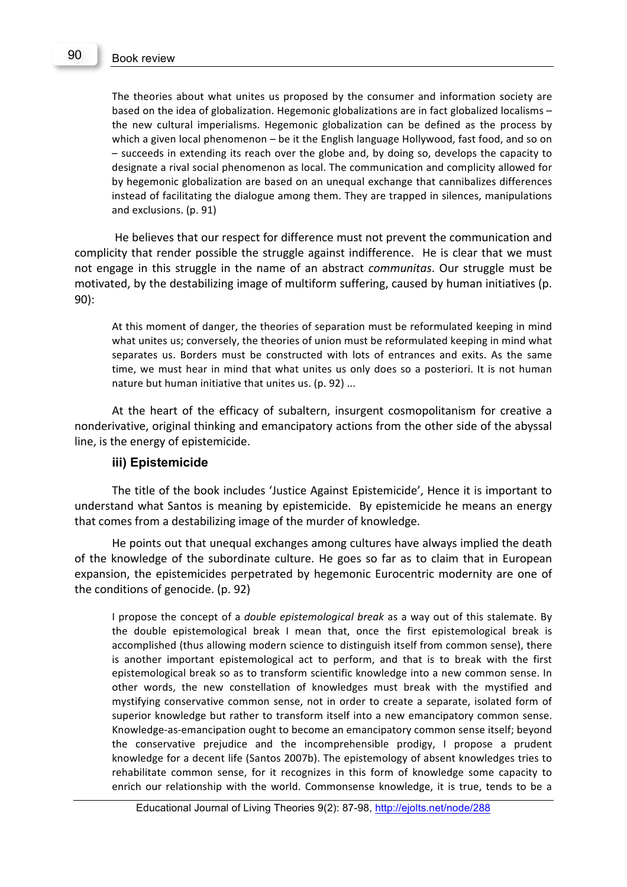The theories about what unites us proposed by the consumer and information society are based on the idea of globalization. Hegemonic globalizations are in fact globalized localisms  $$ the new cultural imperialisms. Hegemonic globalization can be defined as the process by which a given local phenomenon – be it the English language Hollywood, fast food, and so on  $-$  succeeds in extending its reach over the globe and, by doing so, develops the capacity to designate a rival social phenomenon as local. The communication and complicity allowed for by hegemonic globalization are based on an unequal exchange that cannibalizes differences instead of facilitating the dialogue among them. They are trapped in silences, manipulations and exclusions. (p. 91)

He believes that our respect for difference must not prevent the communication and complicity that render possible the struggle against indifference. He is clear that we must not engage in this struggle in the name of an abstract *communitas*. Our struggle must be motivated, by the destabilizing image of multiform suffering, caused by human initiatives (p. 90):

At this moment of danger, the theories of separation must be reformulated keeping in mind what unites us; conversely, the theories of union must be reformulated keeping in mind what separates us. Borders must be constructed with lots of entrances and exits. As the same time, we must hear in mind that what unites us only does so a posteriori. It is not human nature but human initiative that unites us. (p. 92) ...

At the heart of the efficacy of subaltern, insurgent cosmopolitanism for creative a nonderivative, original thinking and emancipatory actions from the other side of the abyssal line, is the energy of epistemicide.

#### **iii) Epistemicide**

The title of the book includes 'Justice Against Epistemicide', Hence it is important to understand what Santos is meaning by epistemicide. By epistemicide he means an energy that comes from a destabilizing image of the murder of knowledge.

He points out that unequal exchanges among cultures have always implied the death of the knowledge of the subordinate culture. He goes so far as to claim that in European expansion, the epistemicides perpetrated by hegemonic Eurocentric modernity are one of the conditions of genocide.  $(p. 92)$ 

I propose the concept of a *double epistemological break* as a way out of this stalemate. By the double epistemological break I mean that, once the first epistemological break is accomplished (thus allowing modern science to distinguish itself from common sense), there is another important epistemological act to perform, and that is to break with the first epistemological break so as to transform scientific knowledge into a new common sense. In other words, the new constellation of knowledges must break with the mystified and mystifying conservative common sense, not in order to create a separate, isolated form of superior knowledge but rather to transform itself into a new emancipatory common sense. Knowledge-as-emancipation ought to become an emancipatory common sense itself; beyond the conservative prejudice and the incomprehensible prodigy, I propose a prudent knowledge for a decent life (Santos 2007b). The epistemology of absent knowledges tries to rehabilitate common sense, for it recognizes in this form of knowledge some capacity to enrich our relationship with the world. Commonsense knowledge, it is true, tends to be a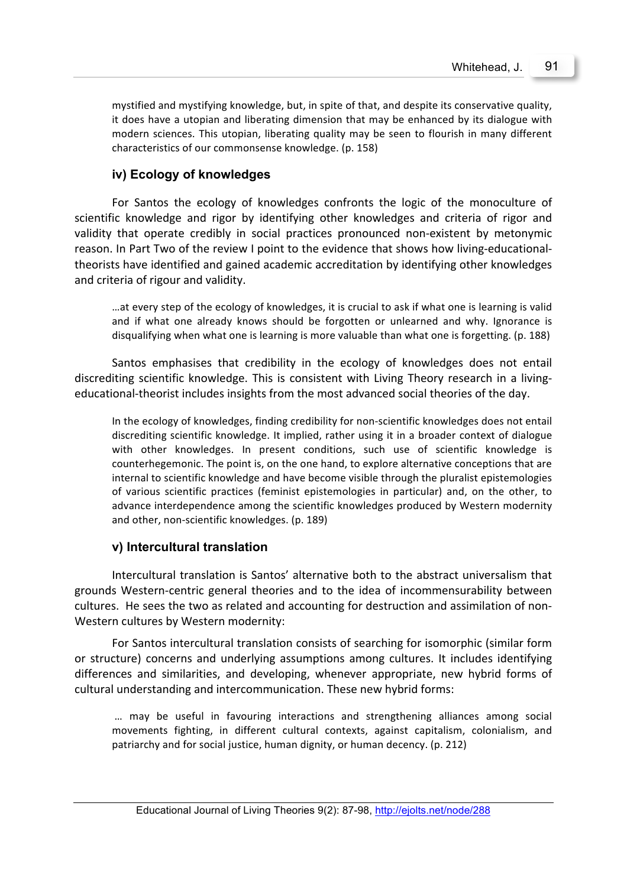mystified and mystifying knowledge, but, in spite of that, and despite its conservative quality, it does have a utopian and liberating dimension that may be enhanced by its dialogue with modern sciences. This utopian, liberating quality may be seen to flourish in many different characteristics of our commonsense knowledge. (p. 158)

# **iv) Ecology of knowledges**

For Santos the ecology of knowledges confronts the logic of the monoculture of scientific knowledge and rigor by identifying other knowledges and criteria of rigor and validity that operate credibly in social practices pronounced non-existent by metonymic reason. In Part Two of the review I point to the evidence that shows how living-educationaltheorists have identified and gained academic accreditation by identifying other knowledges and criteria of rigour and validity.

...at every step of the ecology of knowledges, it is crucial to ask if what one is learning is valid and if what one already knows should be forgotten or unlearned and why. Ignorance is disqualifying when what one is learning is more valuable than what one is forgetting. (p. 188)

Santos emphasises that credibility in the ecology of knowledges does not entail discrediting scientific knowledge. This is consistent with Living Theory research in a livingeducational-theorist includes insights from the most advanced social theories of the day.

In the ecology of knowledges, finding credibility for non-scientific knowledges does not entail discrediting scientific knowledge. It implied, rather using it in a broader context of dialogue with other knowledges. In present conditions, such use of scientific knowledge is counterhegemonic. The point is, on the one hand, to explore alternative conceptions that are internal to scientific knowledge and have become visible through the pluralist epistemologies of various scientific practices (feminist epistemologies in particular) and, on the other, to advance interdependence among the scientific knowledges produced by Western modernity and other, non-scientific knowledges. (p. 189)

## **v) Intercultural translation**

Intercultural translation is Santos' alternative both to the abstract universalism that grounds Western-centric general theories and to the idea of incommensurability between cultures. He sees the two as related and accounting for destruction and assimilation of non-Western cultures by Western modernity:

For Santos intercultural translation consists of searching for isomorphic (similar form or structure) concerns and underlying assumptions among cultures. It includes identifying differences and similarities, and developing, whenever appropriate, new hybrid forms of cultural understanding and intercommunication. These new hybrid forms:

... may be useful in favouring interactions and strengthening alliances among social movements fighting, in different cultural contexts, against capitalism, colonialism, and patriarchy and for social justice, human dignity, or human decency. (p. 212)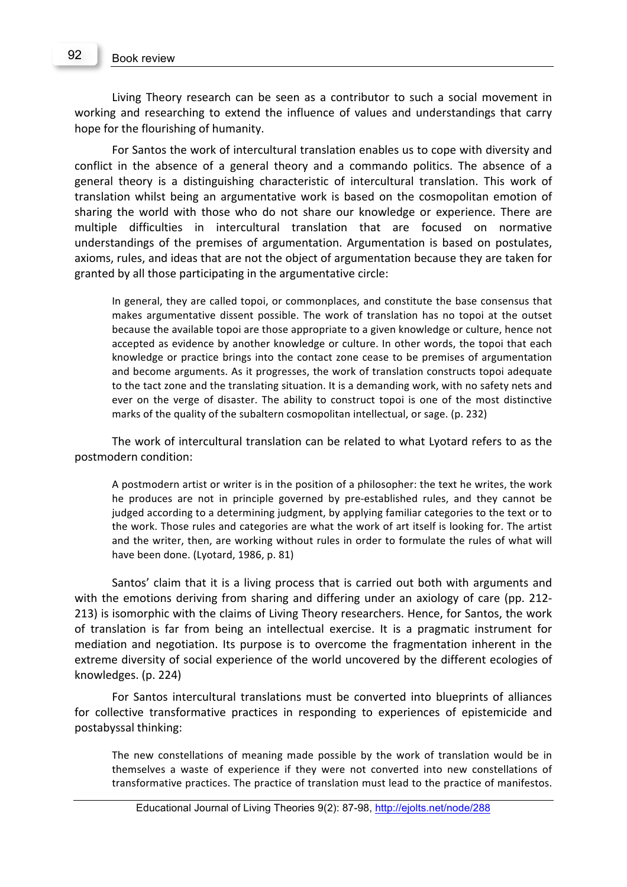Living Theory research can be seen as a contributor to such a social movement in working and researching to extend the influence of values and understandings that carry hope for the flourishing of humanity.

For Santos the work of intercultural translation enables us to cope with diversity and conflict in the absence of a general theory and a commando politics. The absence of a general theory is a distinguishing characteristic of intercultural translation. This work of translation whilst being an argumentative work is based on the cosmopolitan emotion of sharing the world with those who do not share our knowledge or experience. There are multiple difficulties in intercultural translation that are focused on normative understandings of the premises of argumentation. Argumentation is based on postulates, axioms, rules, and ideas that are not the object of argumentation because they are taken for granted by all those participating in the argumentative circle:

In general, they are called topoi, or commonplaces, and constitute the base consensus that makes argumentative dissent possible. The work of translation has no topoi at the outset because the available topoi are those appropriate to a given knowledge or culture, hence not accepted as evidence by another knowledge or culture. In other words, the topoi that each knowledge or practice brings into the contact zone cease to be premises of argumentation and become arguments. As it progresses, the work of translation constructs topoi adequate to the tact zone and the translating situation. It is a demanding work, with no safety nets and ever on the verge of disaster. The ability to construct topoi is one of the most distinctive marks of the quality of the subaltern cosmopolitan intellectual, or sage. (p. 232)

The work of intercultural translation can be related to what Lyotard refers to as the postmodern condition:

A postmodern artist or writer is in the position of a philosopher: the text he writes, the work he produces are not in principle governed by pre-established rules, and they cannot be judged according to a determining judgment, by applying familiar categories to the text or to the work. Those rules and categories are what the work of art itself is looking for. The artist and the writer, then, are working without rules in order to formulate the rules of what will have been done. (Lyotard, 1986, p. 81)

Santos' claim that it is a living process that is carried out both with arguments and with the emotions deriving from sharing and differing under an axiology of care (pp. 212-213) is isomorphic with the claims of Living Theory researchers. Hence, for Santos, the work of translation is far from being an intellectual exercise. It is a pragmatic instrument for mediation and negotiation. Its purpose is to overcome the fragmentation inherent in the extreme diversity of social experience of the world uncovered by the different ecologies of knowledges. (p. 224)

For Santos intercultural translations must be converted into blueprints of alliances for collective transformative practices in responding to experiences of epistemicide and postabyssal thinking:

The new constellations of meaning made possible by the work of translation would be in themselves a waste of experience if they were not converted into new constellations of transformative practices. The practice of translation must lead to the practice of manifestos.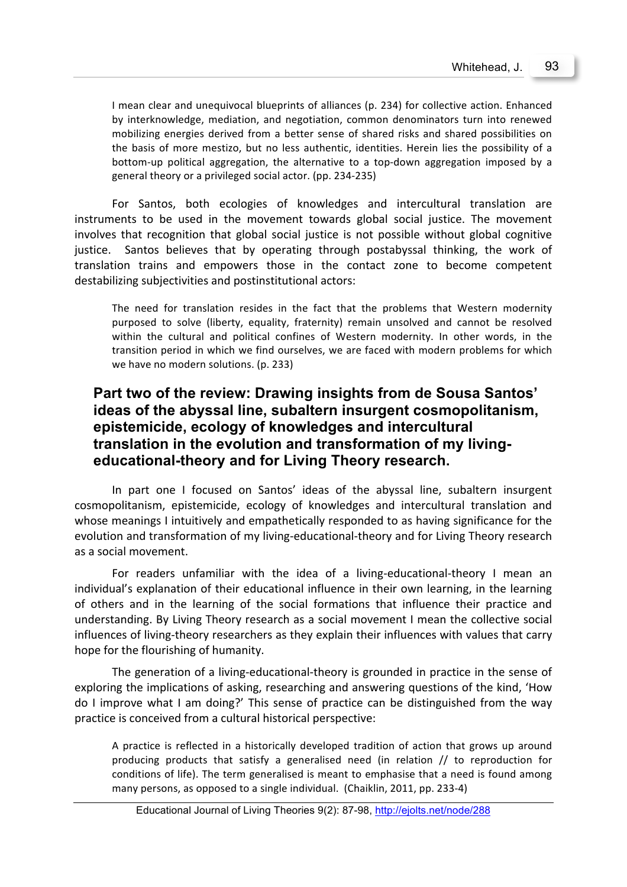I mean clear and unequivocal blueprints of alliances (p. 234) for collective action. Enhanced by interknowledge, mediation, and negotiation, common denominators turn into renewed mobilizing energies derived from a better sense of shared risks and shared possibilities on the basis of more mestizo, but no less authentic, identities. Herein lies the possibility of a bottom-up political aggregation, the alternative to a top-down aggregation imposed by a general theory or a privileged social actor. (pp. 234-235)

For Santos, both ecologies of knowledges and intercultural translation are instruments to be used in the movement towards global social justice. The movement involves that recognition that global social justice is not possible without global cognitive justice. Santos believes that by operating through postabyssal thinking, the work of translation trains and empowers those in the contact zone to become competent destabilizing subjectivities and postinstitutional actors:

The need for translation resides in the fact that the problems that Western modernity purposed to solve (liberty, equality, fraternity) remain unsolved and cannot be resolved within the cultural and political confines of Western modernity. In other words, in the transition period in which we find ourselves, we are faced with modern problems for which we have no modern solutions. (p. 233)

# **Part two of the review: Drawing insights from de Sousa Santos' ideas of the abyssal line, subaltern insurgent cosmopolitanism, epistemicide, ecology of knowledges and intercultural translation in the evolution and transformation of my livingeducational-theory and for Living Theory research.**

In part one I focused on Santos' ideas of the abyssal line, subaltern insurgent cosmopolitanism, epistemicide, ecology of knowledges and intercultural translation and whose meanings I intuitively and empathetically responded to as having significance for the evolution and transformation of my living-educational-theory and for Living Theory research as a social movement.

For readers unfamiliar with the idea of a living-educational-theory I mean an individual's explanation of their educational influence in their own learning, in the learning of others and in the learning of the social formations that influence their practice and understanding. By Living Theory research as a social movement I mean the collective social influences of living-theory researchers as they explain their influences with values that carry hope for the flourishing of humanity.

The generation of a living-educational-theory is grounded in practice in the sense of exploring the implications of asking, researching and answering questions of the kind, 'How do I improve what I am doing?' This sense of practice can be distinguished from the way practice is conceived from a cultural historical perspective:

A practice is reflected in a historically developed tradition of action that grows up around producing products that satisfy a generalised need (in relation  $//$  to reproduction for conditions of life). The term generalised is meant to emphasise that a need is found among many persons, as opposed to a single individual. (Chaiklin, 2011, pp. 233-4)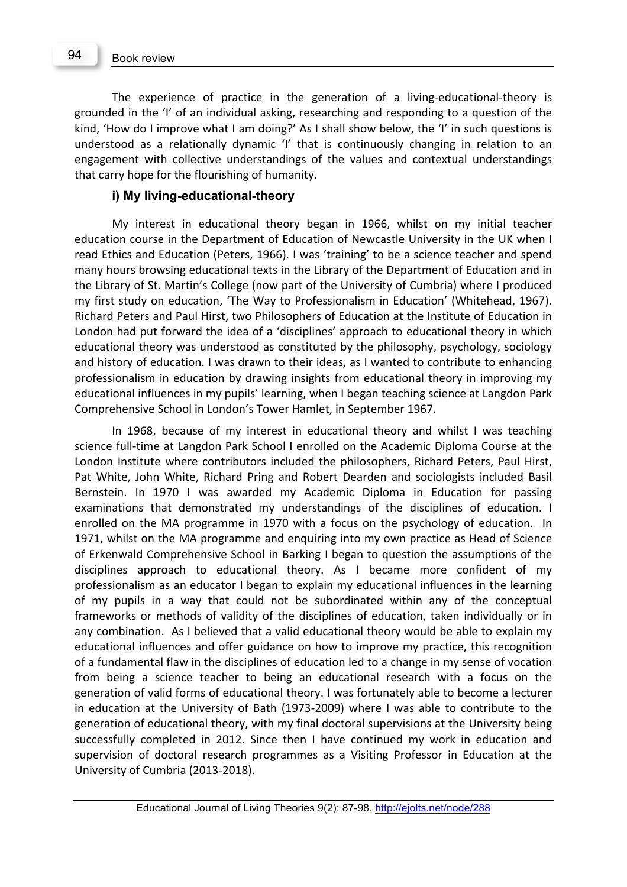The experience of practice in the generation of a living-educational-theory is grounded in the 'I' of an individual asking, researching and responding to a question of the kind, 'How do I improve what I am doing?' As I shall show below, the 'I' in such questions is understood as a relationally dynamic 'I' that is continuously changing in relation to an engagement with collective understandings of the values and contextual understandings that carry hope for the flourishing of humanity.

#### **i) My living-educational-theory**

My interest in educational theory began in 1966, whilst on my initial teacher education course in the Department of Education of Newcastle University in the UK when I read Ethics and Education (Peters, 1966). I was 'training' to be a science teacher and spend many hours browsing educational texts in the Library of the Department of Education and in the Library of St. Martin's College (now part of the University of Cumbria) where I produced my first study on education, 'The Way to Professionalism in Education' (Whitehead, 1967). Richard Peters and Paul Hirst, two Philosophers of Education at the Institute of Education in London had put forward the idea of a 'disciplines' approach to educational theory in which educational theory was understood as constituted by the philosophy, psychology, sociology and history of education. I was drawn to their ideas, as I wanted to contribute to enhancing professionalism in education by drawing insights from educational theory in improving my educational influences in my pupils' learning, when I began teaching science at Langdon Park Comprehensive School in London's Tower Hamlet, in September 1967.

In 1968, because of my interest in educational theory and whilst I was teaching science full-time at Langdon Park School I enrolled on the Academic Diploma Course at the London Institute where contributors included the philosophers, Richard Peters, Paul Hirst, Pat White, John White, Richard Pring and Robert Dearden and sociologists included Basil Bernstein. In 1970 I was awarded my Academic Diploma in Education for passing examinations that demonstrated my understandings of the disciplines of education. I enrolled on the MA programme in 1970 with a focus on the psychology of education. In 1971, whilst on the MA programme and enquiring into my own practice as Head of Science of Erkenwald Comprehensive School in Barking I began to question the assumptions of the disciplines approach to educational theory. As I became more confident of my professionalism as an educator I began to explain my educational influences in the learning of my pupils in a way that could not be subordinated within any of the conceptual frameworks or methods of validity of the disciplines of education, taken individually or in any combination. As I believed that a valid educational theory would be able to explain my educational influences and offer guidance on how to improve my practice, this recognition of a fundamental flaw in the disciplines of education led to a change in my sense of vocation from being a science teacher to being an educational research with a focus on the generation of valid forms of educational theory. I was fortunately able to become a lecturer in education at the University of Bath (1973-2009) where I was able to contribute to the generation of educational theory, with my final doctoral supervisions at the University being successfully completed in 2012. Since then I have continued my work in education and supervision of doctoral research programmes as a Visiting Professor in Education at the University of Cumbria (2013-2018).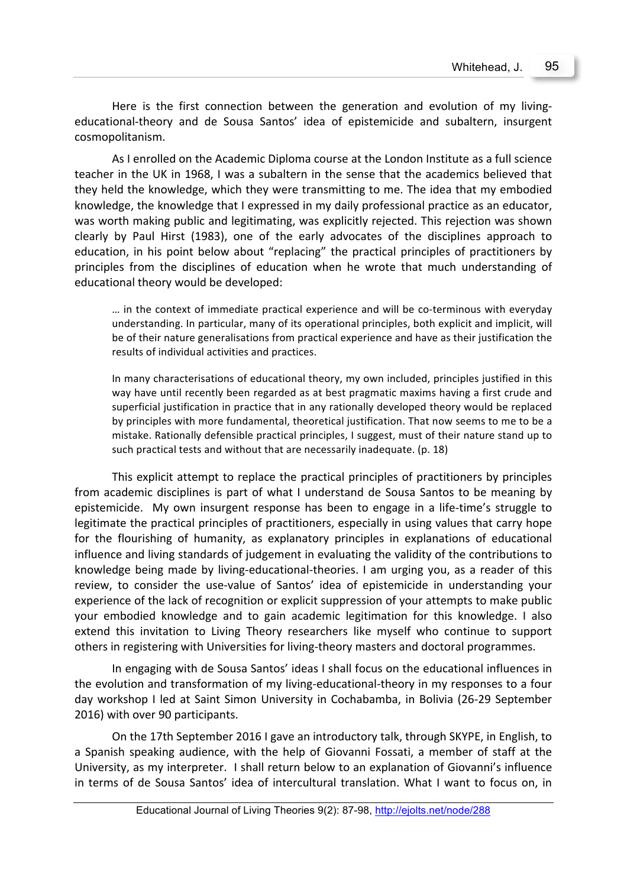Here is the first connection between the generation and evolution of my livingeducational-theory and de Sousa Santos' idea of epistemicide and subaltern, insurgent cosmopolitanism. 

As I enrolled on the Academic Diploma course at the London Institute as a full science teacher in the UK in 1968, I was a subaltern in the sense that the academics believed that they held the knowledge, which they were transmitting to me. The idea that my embodied knowledge, the knowledge that I expressed in my daily professional practice as an educator, was worth making public and legitimating, was explicitly rejected. This rejection was shown clearly by Paul Hirst (1983), one of the early advocates of the disciplines approach to education, in his point below about "replacing" the practical principles of practitioners by principles from the disciplines of education when he wrote that much understanding of educational theory would be developed:

... in the context of immediate practical experience and will be co-terminous with everyday understanding. In particular, many of its operational principles, both explicit and implicit, will be of their nature generalisations from practical experience and have as their justification the results of individual activities and practices.

In many characterisations of educational theory, my own included, principles justified in this way have until recently been regarded as at best pragmatic maxims having a first crude and superficial justification in practice that in any rationally developed theory would be replaced by principles with more fundamental, theoretical justification. That now seems to me to be a mistake. Rationally defensible practical principles, I suggest, must of their nature stand up to such practical tests and without that are necessarily inadequate. (p. 18)

This explicit attempt to replace the practical principles of practitioners by principles from academic disciplines is part of what I understand de Sousa Santos to be meaning by epistemicide. My own insurgent response has been to engage in a life-time's struggle to legitimate the practical principles of practitioners, especially in using values that carry hope for the flourishing of humanity, as explanatory principles in explanations of educational influence and living standards of judgement in evaluating the validity of the contributions to knowledge being made by living-educational-theories. I am urging you, as a reader of this review, to consider the use-value of Santos' idea of epistemicide in understanding your experience of the lack of recognition or explicit suppression of your attempts to make public your embodied knowledge and to gain academic legitimation for this knowledge. I also extend this invitation to Living Theory researchers like myself who continue to support others in registering with Universities for living-theory masters and doctoral programmes.

In engaging with de Sousa Santos' ideas I shall focus on the educational influences in the evolution and transformation of my living-educational-theory in my responses to a four day workshop I led at Saint Simon University in Cochabamba, in Bolivia (26-29 September 2016) with over 90 participants.

On the 17th September 2016 I gave an introductory talk, through SKYPE, in English, to a Spanish speaking audience, with the help of Giovanni Fossati, a member of staff at the University, as my interpreter. I shall return below to an explanation of Giovanni's influence in terms of de Sousa Santos' idea of intercultural translation. What I want to focus on, in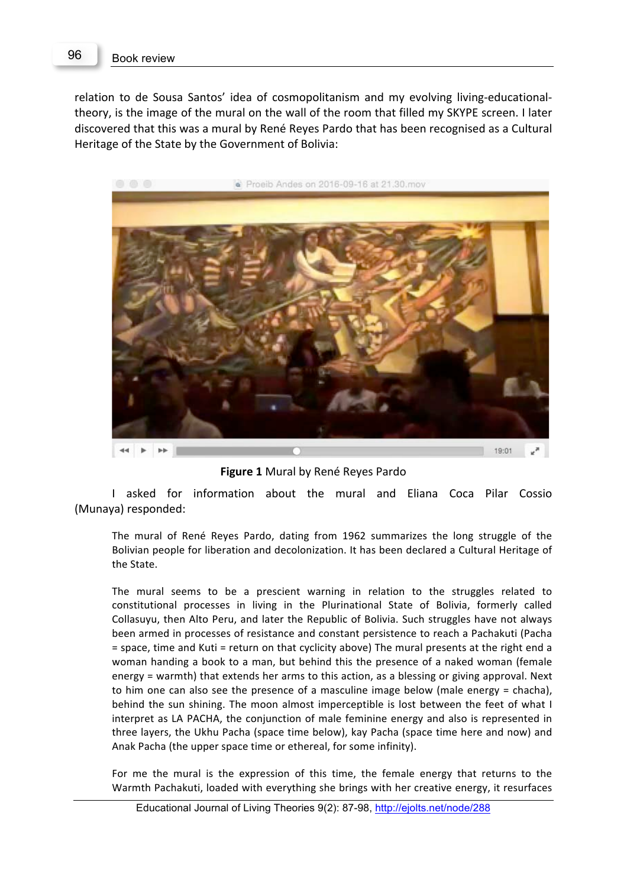relation to de Sousa Santos' idea of cosmopolitanism and my evolving living-educationaltheory, is the image of the mural on the wall of the room that filled my SKYPE screen. I later discovered that this was a mural by René Reyes Pardo that has been recognised as a Cultural Heritage of the State by the Government of Bolivia:



**Figure 1** Mural by René Reyes Pardo

I asked for information about the mural and Eliana Coca Pilar Cossio (Munaya) responded:

The mural of René Reyes Pardo, dating from 1962 summarizes the long struggle of the Bolivian people for liberation and decolonization. It has been declared a Cultural Heritage of the State.

The mural seems to be a prescient warning in relation to the struggles related to constitutional processes in living in the Plurinational State of Bolivia, formerly called Collasuyu, then Alto Peru, and later the Republic of Bolivia. Such struggles have not always been armed in processes of resistance and constant persistence to reach a Pachakuti (Pacha = space, time and Kuti = return on that cyclicity above) The mural presents at the right end a woman handing a book to a man, but behind this the presence of a naked woman (female energy = warmth) that extends her arms to this action, as a blessing or giving approval. Next to him one can also see the presence of a masculine image below (male energy = chacha), behind the sun shining. The moon almost imperceptible is lost between the feet of what I interpret as LA PACHA, the conjunction of male feminine energy and also is represented in three layers, the Ukhu Pacha (space time below), kay Pacha (space time here and now) and Anak Pacha (the upper space time or ethereal, for some infinity).

For me the mural is the expression of this time, the female energy that returns to the Warmth Pachakuti, loaded with everything she brings with her creative energy, it resurfaces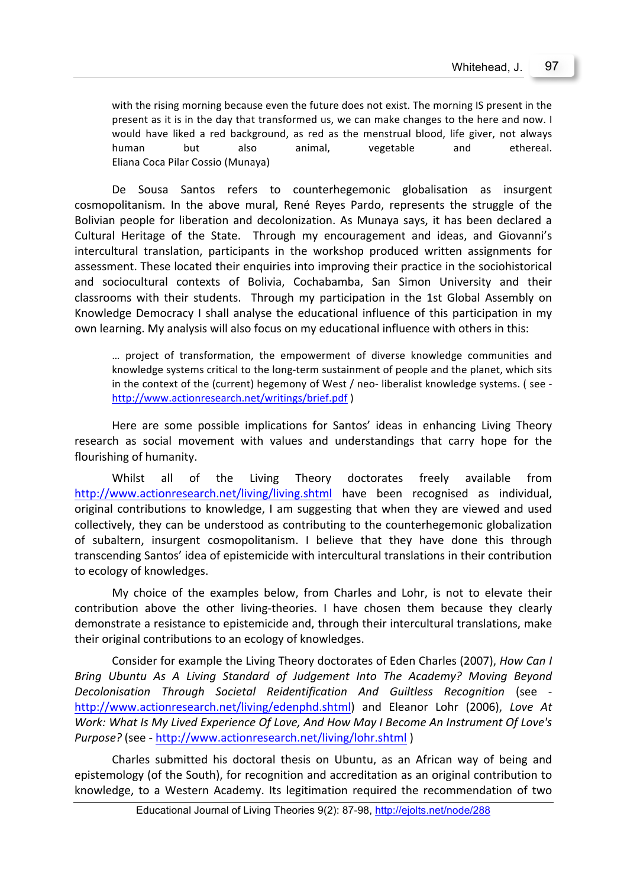with the rising morning because even the future does not exist. The morning IS present in the present as it is in the day that transformed us, we can make changes to the here and now. I would have liked a red background, as red as the menstrual blood, life giver, not always human but also animal, vegetable and ethereal. Eliana Coca Pilar Cossio (Munaya)

De Sousa Santos refers to counterhegemonic globalisation as insurgent cosmopolitanism. In the above mural, René Reyes Pardo, represents the struggle of the Bolivian people for liberation and decolonization. As Munaya says, it has been declared a Cultural Heritage of the State. Through my encouragement and ideas, and Giovanni's intercultural translation, participants in the workshop produced written assignments for assessment. These located their enquiries into improving their practice in the sociohistorical and sociocultural contexts of Bolivia, Cochabamba, San Simon University and their classrooms with their students. Through my participation in the 1st Global Assembly on Knowledge Democracy I shall analyse the educational influence of this participation in my own learning. My analysis will also focus on my educational influence with others in this:

... project of transformation, the empowerment of diverse knowledge communities and knowledge systems critical to the long-term sustainment of people and the planet, which sits in the context of the (current) hegemony of West / neo- liberalist knowledge systems. ( see http://www.actionresearch.net/writings/brief.pdf )

Here are some possible implications for Santos' ideas in enhancing Living Theory research as social movement with values and understandings that carry hope for the flourishing of humanity.

Whilst all of the Living Theory doctorates freely available from http://www.actionresearch.net/living/living.shtml have been recognised as individual, original contributions to knowledge, I am suggesting that when they are viewed and used collectively, they can be understood as contributing to the counterhegemonic globalization of subaltern, insurgent cosmopolitanism. I believe that they have done this through transcending Santos' idea of epistemicide with intercultural translations in their contribution to ecology of knowledges.

My choice of the examples below, from Charles and Lohr, is not to elevate their contribution above the other living-theories. I have chosen them because they clearly demonstrate a resistance to epistemicide and, through their intercultural translations, make their original contributions to an ecology of knowledges.

Consider for example the Living Theory doctorates of Eden Charles (2007), *How Can I* Bring Ubuntu As A Living Standard of Judgement Into The Academy? Moving Beyond *Decolonisation Through Societal Reidentification And Guiltless Recognition* (see http://www.actionresearch.net/living/edenphd.shtml) and Eleanor Lohr (2006), Love At *Work: What Is My Lived Experience Of Love, And How May I Become An Instrument Of Love's Purpose?* (see - http://www.actionresearch.net/living/lohr.shtml)

Charles submitted his doctoral thesis on Ubuntu, as an African way of being and epistemology (of the South), for recognition and accreditation as an original contribution to knowledge, to a Western Academy. Its legitimation required the recommendation of two